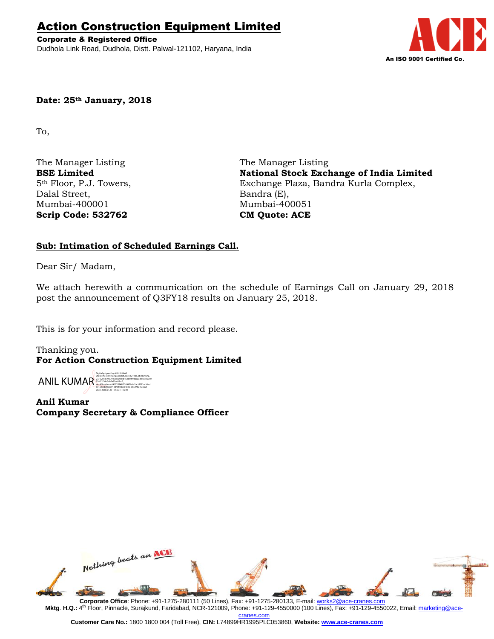# Action Construction Equipment Limited

Corporate & Registered Office Dudhola Link Road, Dudhola, Distt. Palwal-121102, Haryana, India



## **Date: 25th January, 2018**

To,

The Manager Listing The Manager Listing Dalal Street, Bandra (E), Mumbai-400001 Mumbai-400051 **Scrip Code: 532762 CM Quote: ACE**

**BSE Limited National Stock Exchange of India Limited** 5th Floor, P.J. Towers, Exchange Plaza, Bandra Kurla Complex,

# **Sub: Intimation of Scheduled Earnings Call.**

Dear Sir/ Madam,

We attach herewith a communication on the schedule of Earnings Call on January 29, 2018 post the announcement of Q3FY18 results on January 25, 2018.

This is for your information and record please.

Thanking you. **For Action Construction Equipment Limited**

ANIL KUMAR Digitally signed by ANIL KUMAR DN: c=IN, o=Personal, postalCode=121006, st=Haryana, 2.5.4.20=d79a5f197db6fc87b462d60f98beaed91dc86010 23af12f10b5ab7a53ae33cc5, serialNumber=c69127d248f7209479cfd1acbf291cc10ed 601a979bf6bcb944845f16be31b0c, cn=ANIL KUMAR Date: 2018.01.25 17:56:31 +05'30'

**Anil Kumar Company Secretary & Compliance Officer**



**Mktg**. **H.Q.:** 4 th Floor, Pinnacle, Surajkund, Faridabad, NCR-121009, Phone: +91-129-4550000 (100 Lines), Fax: +91-129-4550022, Email[: marketing@ace](mailto:marketing@ace-cranes.com)[cranes.com](mailto:marketing@ace-cranes.com)